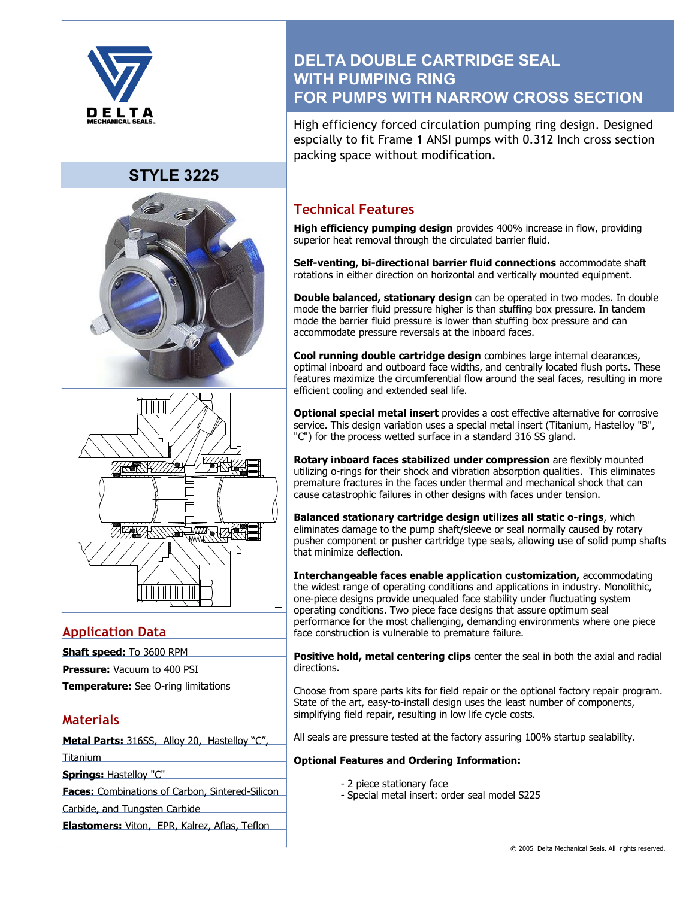

# **STYLE 3225**





## **Application Data**

| <b>Shaft speed:</b> To 3600 RPM |  |  |
|---------------------------------|--|--|
|                                 |  |  |

**Pressure:** Vacuum to 400 PSI

**Temperature:** See O-ring limitations

## **Materials**

**Metal Parts:** 316SS, Alloy 20, Hastelloy "C", Titanium

**Springs:** Hastelloy "C"

**Faces:** Combinations of Carbon, Sintered-Silicon

Carbide, and Tungsten Carbide

**Elastomers:** Viton, EPR, Kalrez, Aflas, Teflon

# **DELTA DOUBLE CARTRIDGE SEAL WITH PUMPING RING FOR PUMPS WITH NARROW CROSS SECTION**

High efficiency forced circulation pumping ring design. Designed espcially to fit Frame 1 ANSI pumps with 0.312 Inch cross section packing space without modification.

## **Technical Features**

**High efficiency pumping design** provides 400% increase in flow, providing superior heat removal through the circulated barrier fluid.

**Self-venting, bi-directional barrier fluid connections** accommodate shaft rotations in either direction on horizontal and vertically mounted equipment.

**Double balanced, stationary design** can be operated in two modes. In double mode the barrier fluid pressure higher is than stuffing box pressure. In tandem mode the barrier fluid pressure is lower than stuffing box pressure and can accommodate pressure reversals at the inboard faces.

**Cool running double cartridge design** combines large internal clearances, optimal inboard and outboard face widths, and centrally located flush ports. These features maximize the circumferential flow around the seal faces, resulting in more efficient cooling and extended seal life.

**Optional special metal insert** provides a cost effective alternative for corrosive service. This design variation uses a special metal insert (Titanium, Hastelloy "B", "C") for the process wetted surface in a standard 316 SS gland.

**Rotary inboard faces stabilized under compression** are flexibly mounted utilizing o-rings for their shock and vibration absorption qualities. This eliminates premature fractures in the faces under thermal and mechanical shock that can cause catastrophic failures in other designs with faces under tension.

**Balanced stationary cartridge design utilizes all static o-rings**, which eliminates damage to the pump shaft/sleeve or seal normally caused by rotary pusher component or pusher cartridge type seals, allowing use of solid pump shafts that minimize deflection.

**Interchangeable faces enable application customization,** accommodating the widest range of operating conditions and applications in industry. Monolithic, one-piece designs provide unequaled face stability under fluctuating system operating conditions. Two piece face designs that assure optimum seal performance for the most challenging, demanding environments where one piece face construction is vulnerable to premature failure.

**Positive hold, metal centering clips** center the seal in both the axial and radial directions.

Choose from spare parts kits for field repair or the optional factory repair program. State of the art, easy-to-install design uses the least number of components, simplifying field repair, resulting in low life cycle costs.

All seals are pressure tested at the factory assuring 100% startup sealability.

### **Optional Features and Ordering Information:**

- 2 piece stationary face
- Special metal insert: order seal model S225